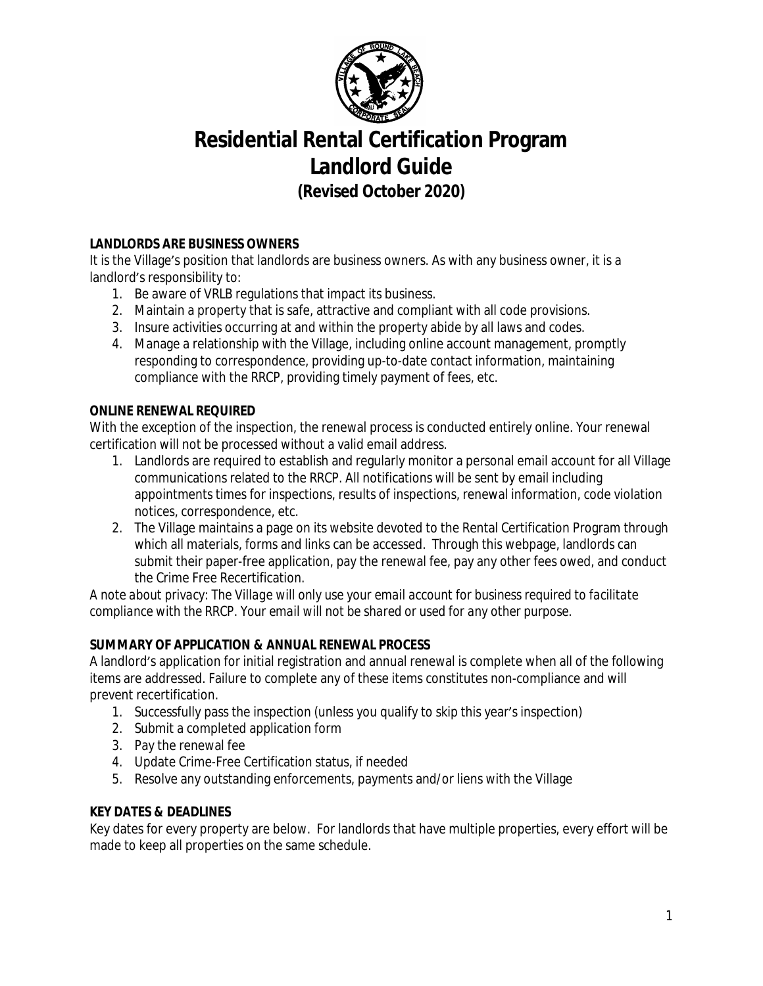

# **Residential Rental Certification Program Landlord Guide**

*(Revised October 2020)*

# **LANDLORDS ARE BUSINESS OWNERS**

It is the Village's position that landlords are business owners. As with any business owner, it is a landlord's responsibility to:

- 1. Be aware of VRLB regulations that impact its business.
- 2. Maintain a property that is safe, attractive and compliant with all code provisions.
- 3. Insure activities occurring at and within the property abide by all laws and codes.
- 4. Manage a relationship with the Village, including online account management, promptly responding to correspondence, providing up-to-date contact information, maintaining compliance with the RRCP, providing timely payment of fees, etc.

# **ONLINE RENEWAL REQUIRED**

With the exception of the inspection, the renewal process is conducted entirely online. Your renewal certification will not be processed without a valid email address.

- 1. Landlords are required to establish and regularly monitor a personal email account for all Village communications related to the RRCP. All notifications will be sent by email including appointments times for inspections, results of inspections, renewal information, code violation notices, correspondence, etc.
- 2. The Village maintains a page on its website devoted to the Rental Certification Program through which all materials, forms and links can be accessed. Through this webpage, landlords can submit their paper-free application, pay the renewal fee, pay any other fees owed, and conduct the Crime Free Recertification.

*A note about privacy: The Village will only use your email account for business required to facilitate compliance with the RRCP. Your email will not be shared or used for any other purpose.*

# **SUMMARY OF APPLICATION & ANNUAL RENEWAL PROCESS**

A landlord's application for initial registration and annual renewal is complete when all of the following items are addressed. Failure to complete any of these items constitutes non-compliance and will prevent recertification.

- 1. Successfully pass the inspection (unless you qualify to skip this year's inspection)
- 2. Submit a completed application form
- 3. Pay the renewal fee
- 4. Update Crime-Free Certification status, if needed
- 5. Resolve any outstanding enforcements, payments and/or liens with the Village

#### **KEY DATES & DEADLINES**

Key dates for every property are below. For landlords that have multiple properties, every effort will be made to keep all properties on the same schedule.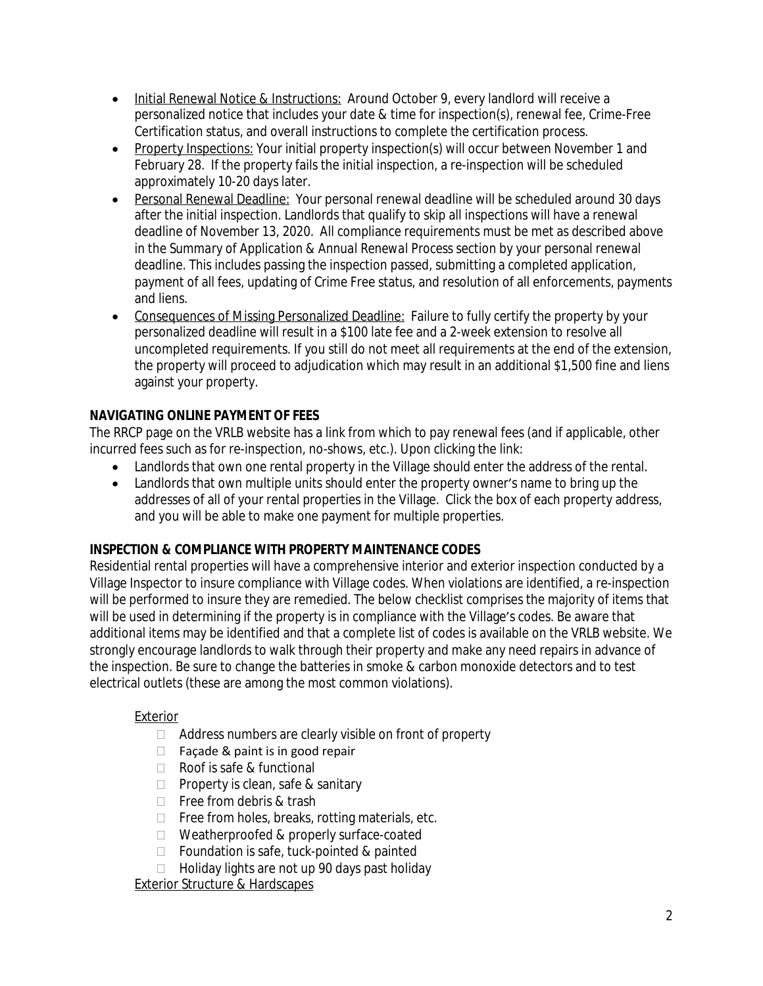- Initial Renewal Notice & Instructions: Around October 9, every landlord will receive a personalized notice that includes your date & time for inspection(s), renewal fee, Crime-Free Certification status, and overall instructions to complete the certification process.
- Property Inspections: Your initial property inspection(s) will occur between November 1 and February 28. If the property fails the initial inspection, a re-inspection will be scheduled approximately 10-20 days later.
- Personal Renewal Deadline: Your personal renewal deadline will be scheduled around 30 days after the initial inspection. Landlords that qualify to skip all inspections will have a renewal deadline of November 13, 2020. All compliance requirements must be met as described above in the *Summary of Application & Annual Renewal Process* section by your personal renewal deadline. This includes passing the inspection passed, submitting a completed application, payment of all fees, updating of Crime Free status, and resolution of all enforcements, payments and liens.
- Consequences of Missing Personalized Deadline: Failure to fully certify the property by your personalized deadline will result in a \$100 late fee and a 2-week extension to resolve all uncompleted requirements. If you still do not meet all requirements at the end of the extension, the property will proceed to adjudication which may result in an additional \$1,500 fine and liens against your property.

# **NAVIGATING ONLINE PAYMENT OF FEES**

The RRCP page on the VRLB website has a link from which to pay renewal fees (and if applicable, other incurred fees such as for re-inspection, no-shows, etc.). Upon clicking the link:

- Landlords that own one rental property in the Village should enter the address of the rental.
- Landlords that own multiple units should enter the property owner's name to bring up the addresses of all of your rental properties in the Village. Click the box of each property address, and you will be able to make one payment for multiple properties.

# **INSPECTION & COMPLIANCE WITH PROPERTY MAINTENANCE CODES**

Residential rental properties will have a comprehensive interior and exterior inspection conducted by a Village Inspector to insure compliance with Village codes. When violations are identified, a re-inspection will be performed to insure they are remedied. The below checklist comprises the majority of items that will be used in determining if the property is in compliance with the Village's codes. Be aware that additional items may be identified and that a complete list of codes is available on the VRLB website. We strongly encourage landlords to walk through their property and make any need repairs in advance of the inspection. Be sure to change the batteries in smoke & carbon monoxide detectors and to test electrical outlets (these are among the most common violations).

# Exterior

- $\Box$  Address numbers are clearly visible on front of property
- $\Box$  Facade & paint is in good repair
- Roof is safe & functional
- $\Box$  Property is clean, safe & sanitary
- Free from debris & trash
- $\Box$  Free from holes, breaks, rotting materials, etc.
- □ Weatherproofed & properly surface-coated
- $\Box$  Foundation is safe, tuck-pointed & painted
- $\Box$  Holiday lights are not up 90 days past holiday

Exterior Structure & Hardscapes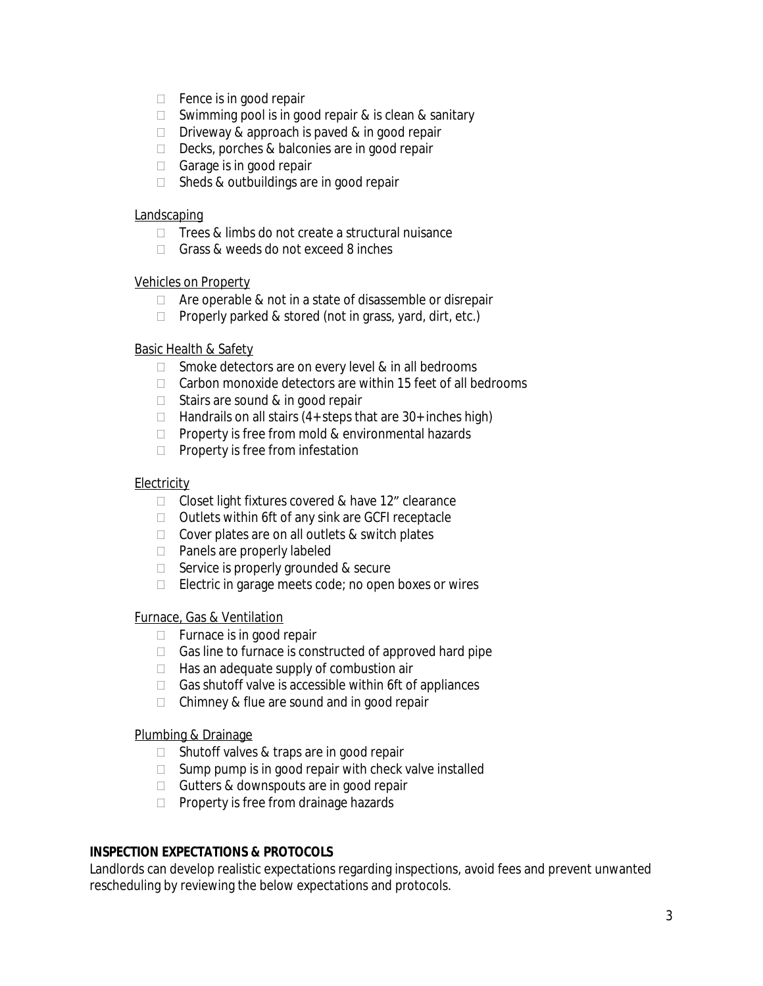- $\Box$  Fence is in good repair
- $\Box$  Swimming pool is in good repair & is clean & sanitary
- $\Box$  Driveway & approach is paved & in good repair
- Decks, porches & balconies are in good repair
- $\Box$  Garage is in good repair
- $\Box$  Sheds & outbuildings are in good repair

#### **Landscaping**

- $\Box$  Trees & limbs do not create a structural nuisance
- Grass & weeds do not exceed 8 inches

#### Vehicles on Property

- $\Box$  Are operable & not in a state of disassemble or disrepair
- $\Box$  Properly parked & stored (not in grass, yard, dirt, etc.)

#### Basic Health & Safety

- $\Box$  Smoke detectors are on every level & in all bedrooms
- $\Box$  Carbon monoxide detectors are within 15 feet of all bedrooms
- $\Box$  Stairs are sound & in good repair
- $\Box$  Handrails on all stairs (4+ steps that are 30+ inches high)
- $\Box$  Property is free from mold & environmental hazards
- $\Box$  Property is free from infestation

## **Electricity**

- $\Box$  Closet light fixtures covered & have 12" clearance
- $\Box$  Outlets within 6ft of any sink are GCFI receptacle
- $\Box$  Cover plates are on all outlets & switch plates
- □ Panels are properly labeled
- $\Box$  Service is properly grounded & secure
- $\Box$  Electric in garage meets code; no open boxes or wires

#### Furnace, Gas & Ventilation

- $\Box$  Furnace is in good repair
- $\Box$  Gas line to furnace is constructed of approved hard pipe
- $\Box$  Has an adequate supply of combustion air
- $\Box$  Gas shutoff valve is accessible within 6ft of appliances
- $\Box$  Chimney & flue are sound and in good repair

## Plumbing & Drainage

- $\Box$  Shutoff valves & traps are in good repair
- $\Box$  Sump pump is in good repair with check valve installed
- $\Box$  Gutters & downspouts are in good repair
- $\Box$  Property is free from drainage hazards

# **INSPECTION EXPECTATIONS & PROTOCOLS**

Landlords can develop realistic expectations regarding inspections, avoid fees and prevent unwanted rescheduling by reviewing the below expectations and protocols.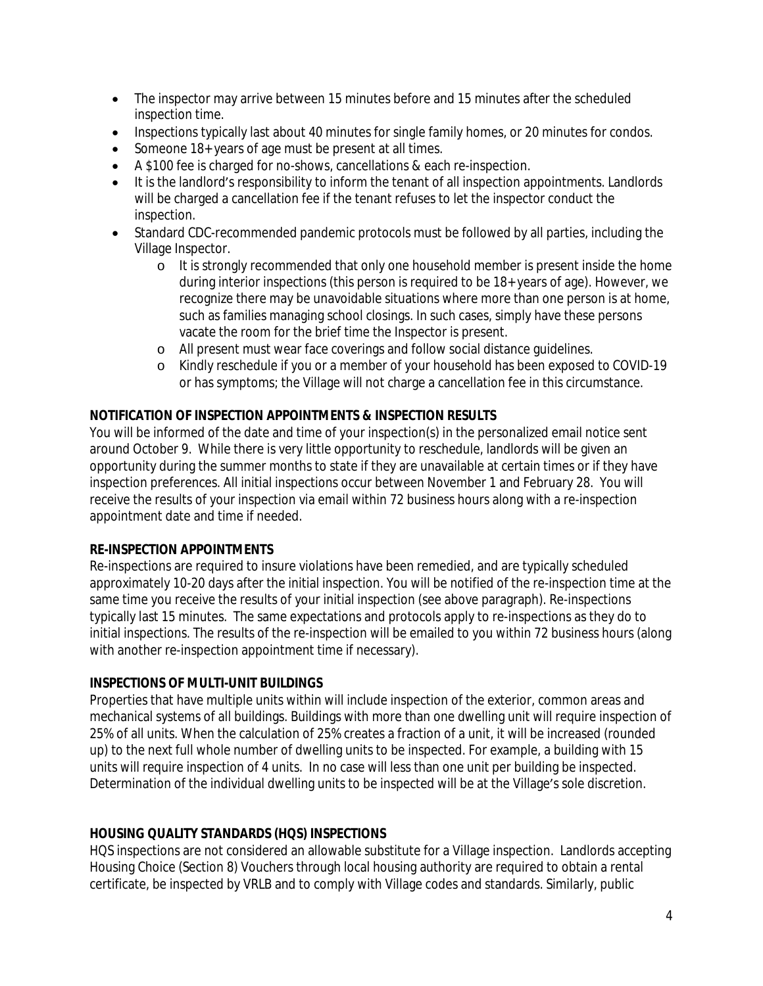- The inspector may arrive between 15 minutes before and 15 minutes after the scheduled inspection time.
- Inspections typically last about 40 minutes for single family homes, or 20 minutes for condos.
- Someone 18+ years of age must be present at all times.
- A \$100 fee is charged for no-shows, cancellations & each re-inspection.
- It is the landlord's responsibility to inform the tenant of all inspection appointments. Landlords will be charged a cancellation fee if the tenant refuses to let the inspector conduct the inspection.
- Standard CDC-recommended pandemic protocols must be followed by all parties, including the Village Inspector.
	- o It is strongly recommended that only one household member is present inside the home during interior inspections (this person is required to be 18+ years of age). However, we recognize there may be unavoidable situations where more than one person is at home, such as families managing school closings. In such cases, simply have these persons vacate the room for the brief time the Inspector is present.
	- o All present must wear face coverings and follow social distance guidelines.
	- o Kindly reschedule if you or a member of your household has been exposed to COVID-19 or has symptoms; the Village will not charge a cancellation fee in this circumstance.

## **NOTIFICATION OF INSPECTION APPOINTMENTS & INSPECTION RESULTS**

You will be informed of the date and time of your inspection(s) in the personalized email notice sent around October 9. While there is very little opportunity to reschedule, landlords will be given an opportunity during the summer months to state if they are unavailable at certain times or if they have inspection preferences. All initial inspections occur between November 1 and February 28. You will receive the results of your inspection via email within 72 business hours along with a re-inspection appointment date and time if needed.

#### **RE-INSPECTION APPOINTMENTS**

Re-inspections are required to insure violations have been remedied, and are typically scheduled approximately 10-20 days after the initial inspection. You will be notified of the re-inspection time at the same time you receive the results of your initial inspection (see above paragraph). Re-inspections typically last 15 minutes. The same expectations and protocols apply to re-inspections as they do to initial inspections. The results of the re-inspection will be emailed to you within 72 business hours (along with another re-inspection appointment time if necessary).

#### **INSPECTIONS OF MULTI-UNIT BUILDINGS**

Properties that have multiple units within will include inspection of the exterior, common areas and mechanical systems of all buildings. Buildings with more than one dwelling unit will require inspection of 25% of all units. When the calculation of 25% creates a fraction of a unit, it will be increased (rounded up) to the next full whole number of dwelling units to be inspected. For example, a building with 15 units will require inspection of 4 units. In no case will less than one unit per building be inspected. Determination of the individual dwelling units to be inspected will be at the Village's sole discretion.

#### **HOUSING QUALITY STANDARDS (HQS) INSPECTIONS**

HQS inspections are not considered an allowable substitute for a Village inspection. Landlords accepting Housing Choice (Section 8) Vouchers through local housing authority are required to obtain a rental certificate, be inspected by VRLB and to comply with Village codes and standards. Similarly, public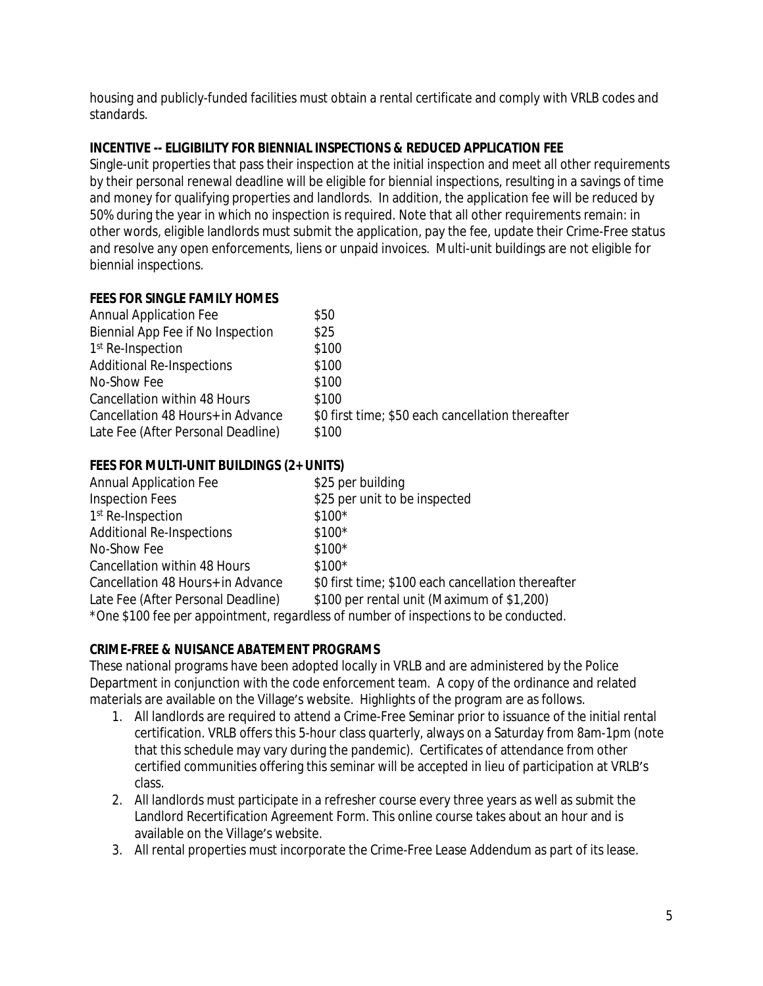housing and publicly-funded facilities must obtain a rental certificate and comply with VRLB codes and standards.

## **INCENTIVE -- ELIGIBILITY FOR BIENNIAL INSPECTIONS & REDUCED APPLICATION FEE**

Single-unit properties that pass their inspection at the initial inspection and meet all other requirements by their personal renewal deadline will be eligible for biennial inspections, resulting in a savings of time and money for qualifying properties and landlords. In addition, the application fee will be reduced by 50% during the year in which no inspection is required. Note that all other requirements remain: in other words, eligible landlords must submit the application, pay the fee, update their Crime-Free status and resolve any open enforcements, liens or unpaid invoices. Multi-unit buildings are not eligible for biennial inspections.

## **FEES FOR SINGLE FAMILY HOMES**

| <b>Annual Application Fee</b>      | \$50                                              |
|------------------------------------|---------------------------------------------------|
| Biennial App Fee if No Inspection  | \$25                                              |
| 1 <sup>st</sup> Re-Inspection      | \$100                                             |
| <b>Additional Re-Inspections</b>   | \$100                                             |
| No-Show Fee                        | \$100                                             |
| Cancellation within 48 Hours       | \$100                                             |
| Cancellation 48 Hours+ in Advance  | \$0 first time; \$50 each cancellation thereafter |
| Late Fee (After Personal Deadline) | \$100                                             |

# **FEES FOR MULTI-UNIT BUILDINGS (2+ UNITS)**

| <b>Annual Application Fee</b>      | \$25 per building                                                                                                                                                                                                                                                                                                                         |
|------------------------------------|-------------------------------------------------------------------------------------------------------------------------------------------------------------------------------------------------------------------------------------------------------------------------------------------------------------------------------------------|
| <b>Inspection Fees</b>             | \$25 per unit to be inspected                                                                                                                                                                                                                                                                                                             |
| 1 <sup>st</sup> Re-Inspection      | $$100*$                                                                                                                                                                                                                                                                                                                                   |
| <b>Additional Re-Inspections</b>   | $$100*$                                                                                                                                                                                                                                                                                                                                   |
| No-Show Fee                        | $$100*$                                                                                                                                                                                                                                                                                                                                   |
| Cancellation within 48 Hours       | $$100*$                                                                                                                                                                                                                                                                                                                                   |
| Cancellation 48 Hours+ in Advance  | \$0 first time; \$100 each cancellation thereafter                                                                                                                                                                                                                                                                                        |
| Late Fee (After Personal Deadline) | \$100 per rental unit (Maximum of \$1,200)                                                                                                                                                                                                                                                                                                |
|                                    | $+$ $\cap$ $\wedge$ $\wedge$ $\wedge$ $\wedge$ $\wedge$ $\wedge$ $\wedge$ $\wedge$ $\wedge$ $\wedge$ $\wedge$ $\wedge$ $\wedge$ $\wedge$ $\wedge$ $\wedge$ $\wedge$ $\wedge$ $\wedge$ $\wedge$ $\wedge$ $\wedge$ $\wedge$ $\wedge$ $\wedge$ $\wedge$ $\wedge$ $\wedge$ $\wedge$ $\wedge$ $\wedge$ $\wedge$ $\wedge$ $\wedge$ $\wedge$ $\$ |

*\*One \$100 fee per appointment, regardless of number of inspections to be conducted.*

# **CRIME-FREE & NUISANCE ABATEMENT PROGRAMS**

These national programs have been adopted locally in VRLB and are administered by the Police Department in conjunction with the code enforcement team. A copy of the ordinance and related materials are available on the Village's website. Highlights of the program are as follows.

- 1. All landlords are required to attend a Crime-Free Seminar prior to issuance of the initial rental certification. VRLB offers this 5-hour class quarterly, always on a Saturday from 8am-1pm (note that this schedule may vary during the pandemic). Certificates of attendance from other certified communities offering this seminar will be accepted in lieu of participation at VRLB's class.
- 2. All landlords must participate in a refresher course every three years as well as submit the Landlord Recertification Agreement Form. This online course takes about an hour and is available on the Village's website.
- 3. All rental properties must incorporate the Crime-Free Lease Addendum as part of its lease.